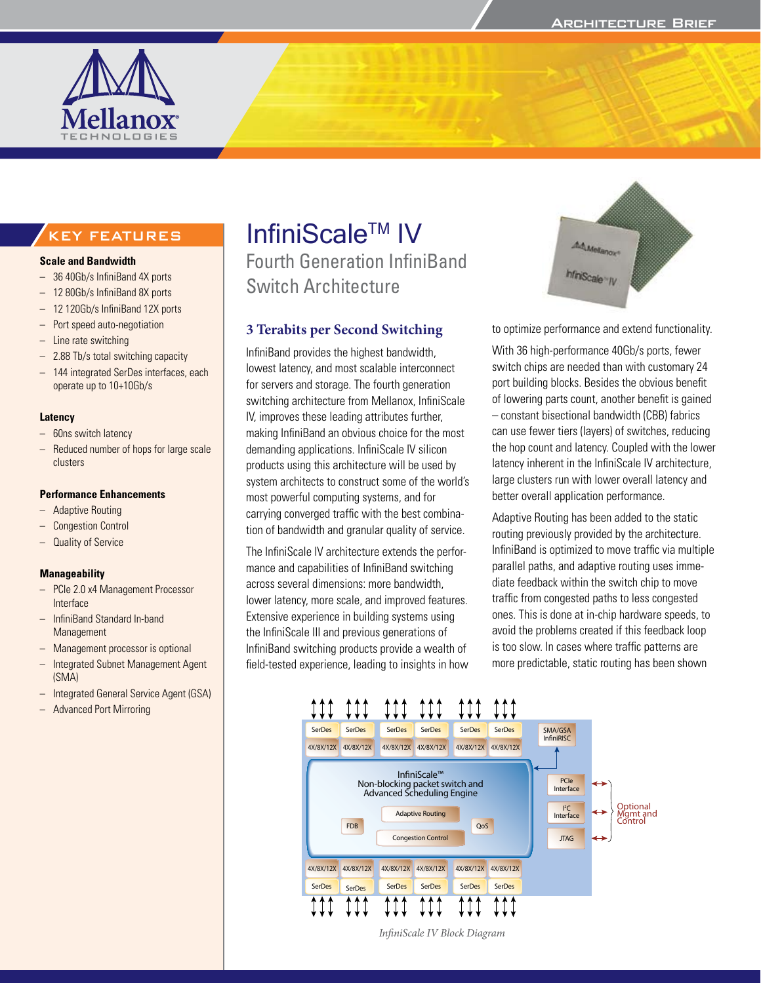

# KEY FEATURES

#### **Scale and Bandwidth**

- 36 40Gb/s InfiniBand 4X ports
- 12 80Gb/s InfiniBand 8X ports
- 12 120Gb/s InfiniBand 12X ports
- Port speed auto-negotiation
- Line rate switching
- 2.88 Tb/s total switching capacity
- 144 integrated SerDes interfaces, each operate up to 10+10Gb/s

#### **Latency**

- 60ns switch latency
- Reduced number of hops for large scale clusters

#### **Performance Enhancements**

- Adaptive Routing
- Congestion Control
- Quality of Service

#### **Manageability**

- PCIe 2.0 x4 Management Processor Interface
- InfiniBand Standard In-band **Management**
- Management processor is optional
- Integrated Subnet Management Agent (SMA)
- Integrated General Service Agent (GSA)
- Advanced Port Mirroring

# InfiniScale™ IV

Fourth Generation InfiniBand Switch Architecture

#### **3 Terabits per Second Switching**

InfiniBand provides the highest bandwidth, lowest latency, and most scalable interconnect for servers and storage. The fourth generation switching architecture from Mellanox, InfiniScale IV, improves these leading attributes further, making InfiniBand an obvious choice for the most demanding applications. InfiniScale IV silicon products using this architecture will be used by system architects to construct some of the world's most powerful computing systems, and for carrying converged traffic with the best combination of bandwidth and granular quality of service.

The InfiniScale IV architecture extends the performance and capabilities of InfiniBand switching across several dimensions: more bandwidth, lower latency, more scale, and improved features. Extensive experience in building systems using the InfiniScale III and previous generations of InfiniBand switching products provide a wealth of field-tested experience, leading to insights in how



to optimize performance and extend functionality.

With 36 high-performance 40Gb/s ports, fewer switch chips are needed than with customary 24 port building blocks. Besides the obvious benefit of lowering parts count, another benefit is gained – constant bisectional bandwidth (CBB) fabrics can use fewer tiers (layers) of switches, reducing the hop count and latency. Coupled with the lower latency inherent in the InfiniScale IV architecture, large clusters run with lower overall latency and better overall application performance.

Adaptive Routing has been added to the static routing previously provided by the architecture. InfiniBand is optimized to move traffic via multiple parallel paths, and adaptive routing uses immediate feedback within the switch chip to move traffic from congested paths to less congested ones. This is done at in-chip hardware speeds, to avoid the problems created if this feedback loop is too slow. In cases where traffic patterns are more predictable, static routing has been shown